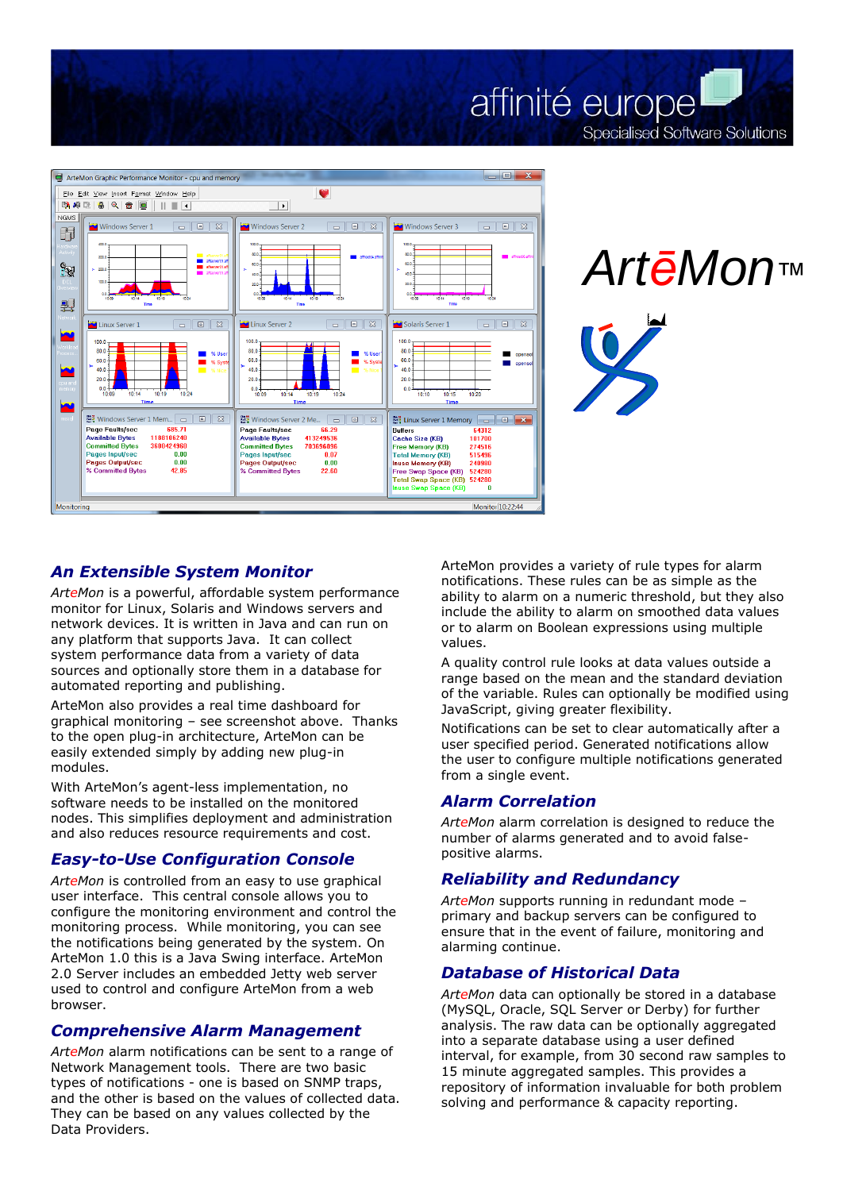



**Specialised Software Solutions** 

## *An Extensible System Monitor*

*ArteMon* is a powerful, affordable system performance monitor for Linux, Solaris and Windows servers and network devices. It is written in Java and can run on any platform that supports Java. It can collect system performance data from a variety of data sources and optionally store them in a database for automated reporting and publishing.

ArteMon also provides a real time dashboard for graphical monitoring – see screenshot above. Thanks to the open plug-in architecture, ArteMon can be easily extended simply by adding new plug-in modules.

With ArteMon's agent-less implementation, no software needs to be installed on the monitored nodes. This simplifies deployment and administration and also reduces resource requirements and cost.

#### *Easy-to-Use Configuration Console*

*ArteMon* is controlled from an easy to use graphical user interface. This central console allows you to configure the monitoring environment and control the monitoring process. While monitoring, you can see the notifications being generated by the system. On ArteMon 1.0 this is a Java Swing interface. ArteMon 2.0 Server includes an embedded Jetty web server used to control and configure ArteMon from a web browser.

#### *Comprehensive Alarm Management*

*ArteMon* alarm notifications can be sent to a range of Network Management tools. There are two basic types of notifications - one is based on SNMP traps, and the other is based on the values of collected data. They can be based on any values collected by the Data Providers.

ArteMon provides a variety of rule types for alarm notifications. These rules can be as simple as the ability to alarm on a numeric threshold, but they also include the ability to alarm on smoothed data values or to alarm on Boolean expressions using multiple values.

affinité europe

A quality control rule looks at data values outside a range based on the mean and the standard deviation of the variable. Rules can optionally be modified using JavaScript, giving greater flexibility.

Notifications can be set to clear automatically after a user specified period. Generated notifications allow the user to configure multiple notifications generated from a single event.

## *Alarm Correlation*

*ArteMon* alarm correlation is designed to reduce the number of alarms generated and to avoid falsepositive alarms.

## *Reliability and Redundancy*

*ArteMon* supports running in redundant mode – primary and backup servers can be configured to ensure that in the event of failure, monitoring and alarming continue.

## *Database of Historical Data*

*ArteMon* data can optionally be stored in a database (MySQL, Oracle, SQL Server or Derby) for further analysis. The raw data can be optionally aggregated into a separate database using a user defined interval, for example, from 30 second raw samples to 15 minute aggregated samples. This provides a repository of information invaluable for both problem **EVALUATION CONSUMBATION**<br> **EVALUAT SUBARATION CONSUMBATION**<br> **EVALUATION**<br> **EVALUATION**<br> **EVALUATION**<br> **EVALUATION**<br> **EVALUATION**<br> **EVALUATION**<br> **EVALUATION**<br> **EVALUATION**<br> **EVALUATION**<br> **EVALUATION**<br> **EVALUATION**<br> **EVALU**